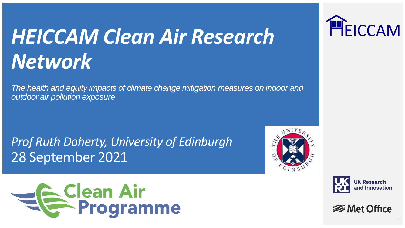# *HEICCAM Clean Air Research Network*

*The health and equity impacts of climate change mitigation measures on indoor and outdoor air pollution exposure*

*Prof Ruth Doherty, University of Edinburgh* 28 September 2021







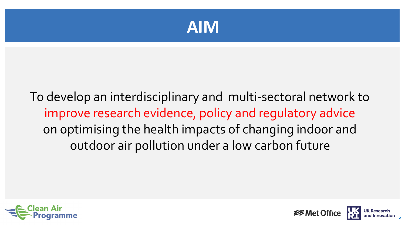

### To develop an interdisciplinary and multi-sectoral network to improve research evidence, policy and regulatory advice on optimising the health impacts of changing indoor and outdoor air pollution under a low carbon future



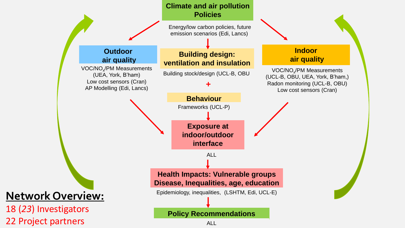

Energy/low carbon policies, future emission scenarios (Edi, Lancs)

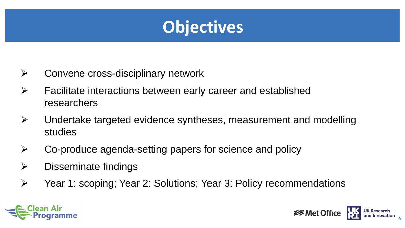

- ➢ Convene cross-disciplinary network
- $\triangleright$  Facilitate interactions between early career and established researchers
- ➢ Undertake targeted evidence syntheses, measurement and modelling studies
- ➢ Co-produce agenda-setting papers for science and policy
- $\triangleright$  Disseminate findings
- ➢ Year 1: scoping; Year 2: Solutions; Year 3: Policy recommendations



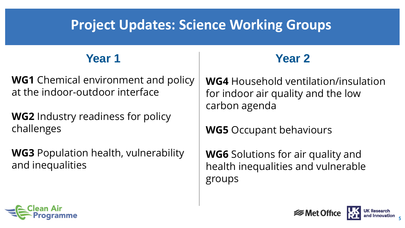### **Project Updates: Science Working Groups**

### **Year 1 Year 2**

**WG1** Chemical environment and policy at the indoor-outdoor interface

**WG2** Industry readiness for policy challenges

**WG3** Population health, vulnerability and inequalities

**WG4** Household ventilation/insulation for indoor air quality and the low carbon agenda

**WG5** Occupant behaviours

**WG6** Solutions for air quality and health inequalities and vulnerable groups



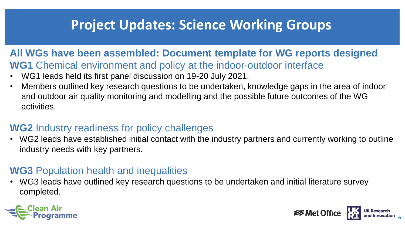### **Project Updates: Science Working Groups**

#### **All WGs have been assembled: Document template for WG reports designed WG1** Chemical environment and policy at the indoor-outdoor interface

- WG1 leads held its first panel discussion on 19-20 July 2021.
- Members outlined key research questions to be undertaken, knowledge gaps in the area of indoor and outdoor air quality monitoring and modelling and the possible future outcomes of the WG activities.

#### **WG2** Industry readiness for policy challenges

• WG2 leads have established initial contact with the industry partners and currently working to outline industry needs with key partners.

#### **WG3** Population health and inequalities

• WG3 leads have outlined key research questions to be undertaken and initial literature survey completed.



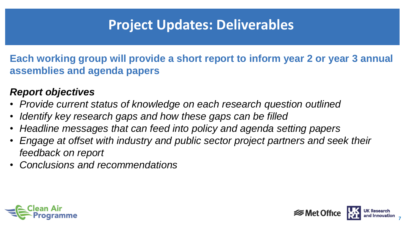### **Project Updates: Deliverables**

**Each working group will provide a short report to inform year 2 or year 3 annual assemblies and agenda papers**

#### *Report objectives*

- *Provide current status of knowledge on each research question outlined*
- *Identify key research gaps and how these gaps can be filled*
- *Headline messages that can feed into policy and agenda setting papers*
- *Engage at offset with industry and public sector project partners and seek their feedback on report*
- *Conclusions and recommendations*



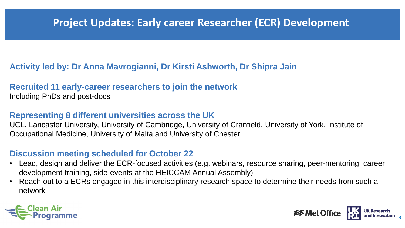### **Project Updates: Early career Researcher (ECR) Development**

#### **Activity led by: Dr Anna Mavrogianni, Dr Kirsti Ashworth, Dr Shipra Jain**

### **Recruited 11 early-career researchers to join the network**

Including PhDs and post-docs

#### **Representing 8 different universities across the UK**

UCL, Lancaster University, University of Cambridge, University of Cranfield, University of York, Institute of Occupational Medicine, University of Malta and University of Chester

#### **Discussion meeting scheduled for October 22**

- Lead, design and deliver the ECR-focused activities (e.g. webinars, resource sharing, peer-mentoring, career development training, side-events at the HEICCAM Annual Assembly)
- Reach out to a ECRs engaged in this interdisciplinary research space to determine their needs from such a network



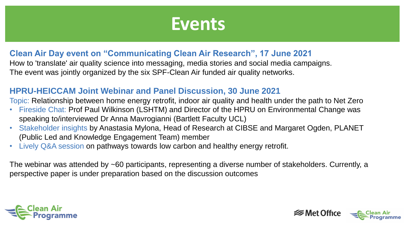## **Events**

#### **Clean Air Day event on "Communicating Clean Air Research", 17 June 2021**

How to 'translate' air quality science into messaging, media stories and social media campaigns. The event was jointly organized by the six SPF-Clean Air funded air quality networks.

#### **HPRU-HEICCAM Joint Webinar and Panel Discussion, 30 June 2021**

Topic: Relationship between home energy retrofit, indoor air quality and health under the path to Net Zero

- Fireside Chat: Prof Paul Wilkinson (LSHTM) and Director of the HPRU on Environmental Change was speaking to/interviewed Dr Anna Mavrogianni (Bartlett Faculty UCL)
- Stakeholder insights by Anastasia Mylona, Head of Research at CIBSE and Margaret Ogden, PLANET (Public Led and Knowledge Engagement Team) member
- Lively Q&A session on pathways towards low carbon and healthy energy retrofit.

The webinar was attended by ~60 participants, representing a diverse number of stakeholders. Currently, a perspective paper is under preparation based on the discussion outcomes

**9**

*<del></del>* Met Office